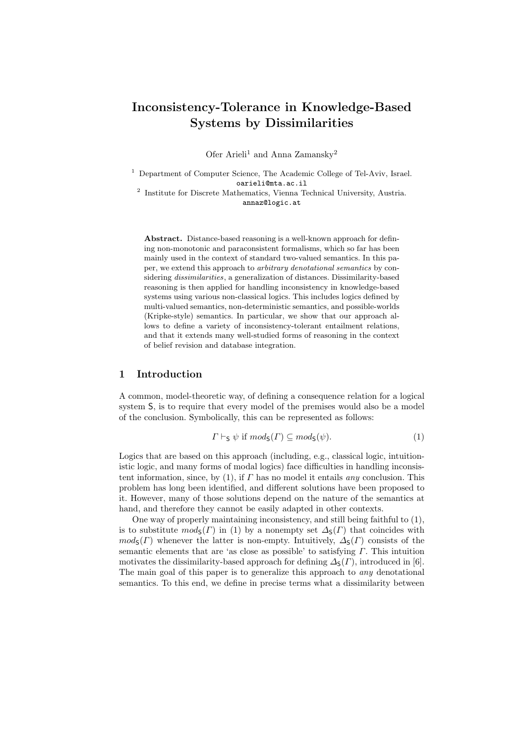# **Inconsistency-Tolerance in Knowledge-Based Systems by Dissimilarities**

Ofer Arieli<sup>1</sup> and Anna Zamansky<sup>2</sup>

<sup>1</sup> Department of Computer Science, The Academic College of Tel-Aviv, Israel. oarieli@mta.ac.il

<sup>2</sup> Institute for Discrete Mathematics, Vienna Technical University, Austria. annaz@logic.at

**Abstract.** Distance-based reasoning is a well-known approach for defining non-monotonic and paraconsistent formalisms, which so far has been mainly used in the context of standard two-valued semantics. In this paper, we extend this approach to *arbitrary denotational semantics* by considering *dissimilarities*, a generalization of distances. Dissimilarity-based reasoning is then applied for handling inconsistency in knowledge-based systems using various non-classical logics. This includes logics defined by multi-valued semantics, non-deterministic semantics, and possible-worlds (Kripke-style) semantics. In particular, we show that our approach allows to define a variety of inconsistency-tolerant entailment relations, and that it extends many well-studied forms of reasoning in the context of belief revision and database integration.

#### **1 Introduction**

A common, model-theoretic way, of defining a consequence relation for a logical system S, is to require that every model of the premises would also be a model of the conclusion. Symbolically, this can be represented as follows:

$$
\Gamma \vdash_{\mathsf{S}} \psi \text{ if } \operatorname{mod}_{\mathsf{S}}(\Gamma) \subseteq \operatorname{mod}_{\mathsf{S}}(\psi). \tag{1}
$$

Logics that are based on this approach (including, e.g., classical logic, intuitionistic logic, and many forms of modal logics) face difficulties in handling inconsistent information, since, by (1), if *Γ* has no model it entails *any* conclusion. This problem has long been identified, and different solutions have been proposed to it. However, many of those solutions depend on the nature of the semantics at hand, and therefore they cannot be easily adapted in other contexts.

One way of properly maintaining inconsistency, and still being faithful to (1), is to substitute  $mod_{S}(F)$  in (1) by a nonempty set  $\Delta_{S}(F)$  that coincides with  $mod_{S}(\Gamma)$  whenever the latter is non-empty. Intuitively,  $\Delta_{S}(\Gamma)$  consists of the semantic elements that are 'as close as possible' to satisfying *Γ*. This intuition motivates the dissimilarity-based approach for defining  $\Delta$ <sub>S</sub>(*Γ*), introduced in [6]. The main goal of this paper is to generalize this approach to *any* denotational semantics. To this end, we define in precise terms what a dissimilarity between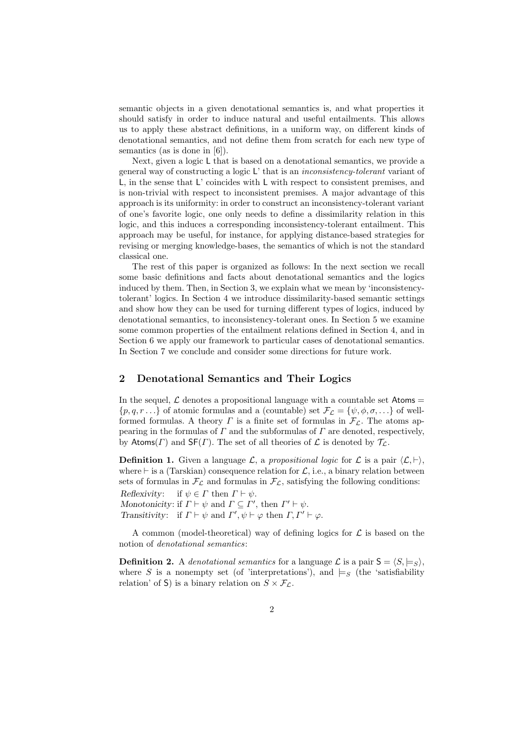semantic objects in a given denotational semantics is, and what properties it should satisfy in order to induce natural and useful entailments. This allows us to apply these abstract definitions, in a uniform way, on different kinds of denotational semantics, and not define them from scratch for each new type of semantics (as is done in [6]).

Next, given a logic L that is based on a denotational semantics, we provide a general way of constructing a logic L' that is an *inconsistency-tolerant* variant of L, in the sense that L' coincides with L with respect to consistent premises, and is non-trivial with respect to inconsistent premises. A major advantage of this approach is its uniformity: in order to construct an inconsistency-tolerant variant of one's favorite logic, one only needs to define a dissimilarity relation in this logic, and this induces a corresponding inconsistency-tolerant entailment. This approach may be useful, for instance, for applying distance-based strategies for revising or merging knowledge-bases, the semantics of which is not the standard classical one.

The rest of this paper is organized as follows: In the next section we recall some basic definitions and facts about denotational semantics and the logics induced by them. Then, in Section 3, we explain what we mean by 'inconsistencytolerant' logics. In Section 4 we introduce dissimilarity-based semantic settings and show how they can be used for turning different types of logics, induced by denotational semantics, to inconsistency-tolerant ones. In Section 5 we examine some common properties of the entailment relations defined in Section 4, and in Section 6 we apply our framework to particular cases of denotational semantics. In Section 7 we conclude and consider some directions for future work.

### **2 Denotational Semantics and Their Logics**

In the sequel,  $\mathcal L$  denotes a propositional language with a countable set Atoms  $=$  $\{p, q, r \ldots\}$  of atomic formulas and a (countable) set  $\mathcal{F}_\mathcal{L} = \{\psi, \phi, \sigma, \ldots\}$  of wellformed formulas. A theory *Γ* is a finite set of formulas in  $\mathcal{F}_\mathcal{L}$ . The atoms appearing in the formulas of *Γ* and the subformulas of *Γ* are denoted, respectively, by Atoms(*Γ*) and  $SF(\Gamma)$ . The set of all theories of  $\mathcal L$  is denoted by  $\mathcal T_{\mathcal L}$ .

**Definition 1.** Given a language  $\mathcal{L}$ , a *propositional logic* for  $\mathcal{L}$  is a pair  $\langle \mathcal{L}, \vdash \rangle$ , where *⊢* is a (Tarskian) consequence relation for *L*, i.e., a binary relation between sets of formulas in  $\mathcal{F}_\mathcal{L}$  and formulas in  $\mathcal{F}_\mathcal{L}$ , satisfying the following conditions:

*Reflexivity*: if  $\psi \in \Gamma$  then  $\Gamma \vdash \psi$ . *Monotonicity*: if  $\Gamma \vdash \psi$  and  $\Gamma \subseteq \Gamma'$ , then  $\Gamma' \vdash \psi$ . *Transitivity*: if  $\Gamma \vdash \psi$  and  $\Gamma', \psi \vdash \varphi$  then  $\Gamma, \Gamma' \vdash \varphi$ .

A common (model-theoretical) way of defining logics for *L* is based on the notion of *denotational semantics*:

**Definition 2.** A *denotational semantics* for a language  $\mathcal{L}$  is a pair  $\mathsf{S} = \langle S, \models_S \rangle$ , where *S* is a nonempty set (of 'interpretations'), and  $\models$ *s* (the 'satisfiability relation' of S) is a binary relation on  $S \times F_C$ .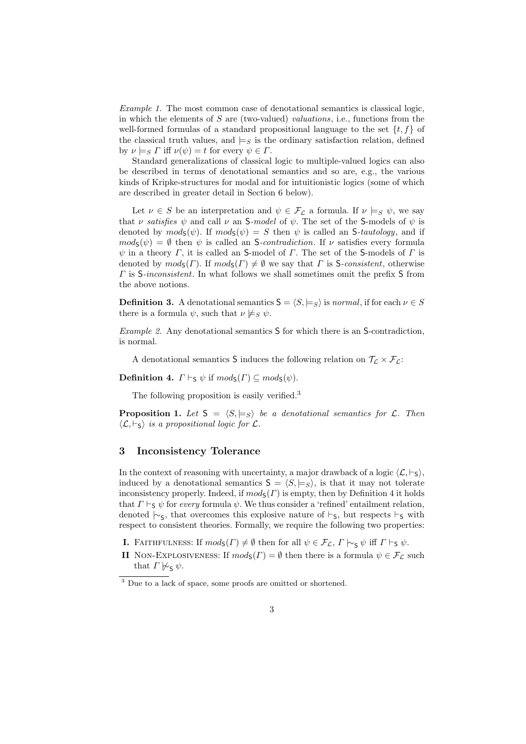*Example 1.* The most common case of denotational semantics is classical logic, in which the elements of *S* are (two-valued) *valuations*, i.e., functions from the well-formed formulas of a standard propositional language to the set  $\{t, f\}$  of the classical truth values, and  $\models$ *S* is the ordinary satisfaction relation, defined by  $\nu \models_S \Gamma$  iff  $\nu(\psi) = t$  for every  $\psi \in \Gamma$ .

Standard generalizations of classical logic to multiple-valued logics can also be described in terms of denotational semantics and so are, e.g., the various kinds of Kripke-structures for modal and for intuitionistic logics (some of which are described in greater detail in Section 6 below).

Let  $\nu \in S$  be an interpretation and  $\psi \in \mathcal{F}_C$  a formula. If  $\nu \models_S \psi$ , we say that *ν satisfies*  $\psi$  and call *ν* an S-model of  $\psi$ . The set of the S-models of  $\psi$  is denoted by  $mod_{S}(\psi)$ . If  $mod_{S}(\psi) = S$  then  $\psi$  is called an *S-tautology*, and if  $mod_{S}(\psi) = \emptyset$  then  $\psi$  is called an *S-contradiction*. If  $\nu$  satisfies every formula *ψ* in a theory *Γ*, it is called an S-model of *Γ*. The set of the S-models of *Γ* is denoted by  $mod_5(\Gamma)$ . If  $mod_5(\Gamma) \neq \emptyset$  we say that  $\Gamma$  is S-consistent, otherwise *Γ* is S*-inconsistent*. In what follows we shall sometimes omit the prefix S from the above notions.

**Definition 3.** A denotational semantics  $S = \langle S, \models_S \rangle$  is *normal*, if for each  $\nu \in S$ there is a formula  $\psi$ , such that  $\nu \not\models_S \psi$ .

*Example 2.* Any denotational semantics S for which there is an S-contradiction, is normal.

A denotational semantics **S** induces the following relation on  $\mathcal{T}_{\mathcal{L}} \times \mathcal{F}_{\mathcal{L}}$ :

**Definition 4.**  $\Gamma \vdash_S \psi$  if  $mod_S(\Gamma) \subseteq mod_S(\psi)$ .

The following proposition is easily verified.<sup>3</sup>

**Proposition 1.** Let  $S = \langle S, \models_S \rangle$  be a denotational semantics for  $\mathcal{L}$ . Then  $\langle L, \vdash_{\mathsf{S}} \rangle$  *is a propositional logic for*  $\mathcal{L}$ *.* 

#### **3 Inconsistency Tolerance**

In the context of reasoning with uncertainty, a major drawback of a logic  $\langle \mathcal{L}, \vdash_{\mathsf{S}} \rangle$ , induced by a denotational semantics  $S = \langle S, \models_S \rangle$ , is that it may not tolerate inconsistency properly. Indeed, if  $mod(s)$  is empty, then by Definition 4 it holds that  $\Gamma \vdash_S \psi$  for *every* formula  $\psi$ . We thus consider a 'refined' entailment relation, denoted  $\sim$ <sub>S</sub>, that overcomes this explosive nature of *⊢*<sub>S</sub>, but respects *⊢*<sub>S</sub> with respect to consistent theories. Formally, we require the following two properties:

**I.** FAITHFULNESS: If  $mod_5(\Gamma) \neq \emptyset$  then for all  $\psi \in \mathcal{F}_\mathcal{L}$ ,  $\Gamma \vdash_{\mathsf{S}} \psi$  iff  $\Gamma \vdash_{\mathsf{S}} \psi$ .

**II** NON-EXPLOSIVENESS: If  $mod_5(\Gamma) = \emptyset$  then there is a formula  $\psi \in \mathcal{F}_\mathcal{L}$  such that  $\Gamma \not\sim_{\mathsf{S}} \psi$ .

<sup>&</sup>lt;sup>3</sup> Due to a lack of space, some proofs are omitted or shortened.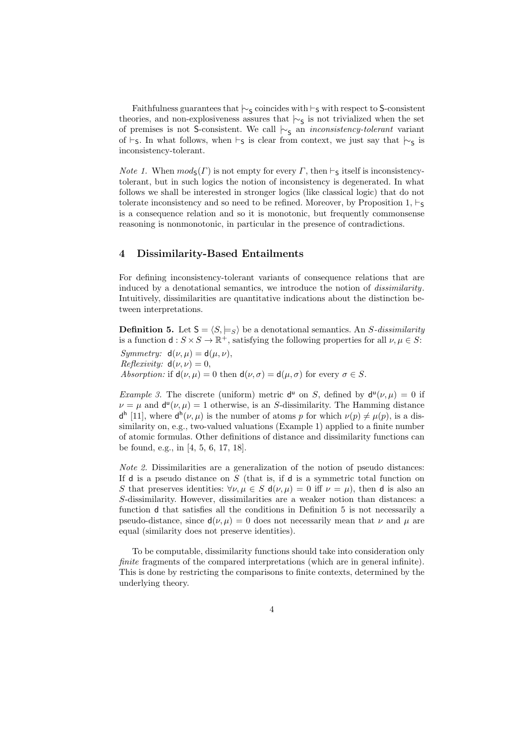Faithfulness guarantees that  $\vdash$ <sub>S</sub> coincides with *⊦*<sub>S</sub> with respect to S-consistent theories, and non-explosiveness assures that  $\sim$ <sub>S</sub> is not trivialized when the set of premises is not S-consistent. We call  $\sim$ <sub>S</sub> an *inconsistency-tolerant* variant of *⊢*<sub>S</sub>. In what follows, when *⊢*<sub>S</sub> is clear from context, we just say that  $\mid \sim$ <sub>S</sub> is inconsistency-tolerant.

*Note 1.* When  $mod_{S}(\Gamma)$  is not empty for every  $\Gamma$ , then  $\vdash_{S}$  itself is inconsistencytolerant, but in such logics the notion of inconsistency is degenerated. In what follows we shall be interested in stronger logics (like classical logic) that do not tolerate inconsistency and so need to be refined. Moreover, by Proposition 1,  $\vdash$ <sub>S</sub> is a consequence relation and so it is monotonic, but frequently commonsense reasoning is nonmonotonic, in particular in the presence of contradictions.

### **4 Dissimilarity-Based Entailments**

For defining inconsistency-tolerant variants of consequence relations that are induced by a denotational semantics, we introduce the notion of *dissimilarity*. Intuitively, dissimilarities are quantitative indications about the distinction between interpretations.

**Definition 5.** Let  $S = \langle S, \models_S \rangle$  be a denotational semantics. An *S*-dissimilarity is a function  $d: S \times S \to \mathbb{R}^+$ , satisfying the following properties for all  $\nu, \mu \in S$ :

*Symmetry:*  $d(\nu, \mu) = d(\mu, \nu)$ , *Reflexivity:*  $d(\nu, \nu) = 0$ , *Absorption:* if  $d(\nu, \mu) = 0$  then  $d(\nu, \sigma) = d(\mu, \sigma)$  for every  $\sigma \in S$ .

*Example 3.* The discrete (uniform) metric  $d^{\mu}$  on *S*, defined by  $d^{\mu}(\nu,\mu) = 0$  if  $\nu = \mu$  and  $d^{\mu}(\nu, \mu) = 1$  otherwise, is an *S*-dissimilarity. The Hamming distance  $d^{h}$  [11], where  $d^{h}(\nu,\mu)$  is the number of atoms *p* for which  $\nu(p) \neq \mu(p)$ , is a dissimilarity on, e.g., two-valued valuations (Example 1) applied to a finite number of atomic formulas. Other definitions of distance and dissimilarity functions can be found, e.g., in [4, 5, 6, 17, 18].

*Note 2.* Dissimilarities are a generalization of the notion of pseudo distances: If d is a pseudo distance on *S* (that is, if d is a symmetric total function on *S* that preserves identities:  $\forall \nu, \mu \in S$  d( $\nu, \mu$ ) = 0 iff  $\nu = \mu$ ), then d is also an *S*-dissimilarity. However, dissimilarities are a weaker notion than distances: a function d that satisfies all the conditions in Definition 5 is not necessarily a pseudo-distance, since  $d(\nu, \mu) = 0$  does not necessarily mean that  $\nu$  and  $\mu$  are equal (similarity does not preserve identities).

To be computable, dissimilarity functions should take into consideration only *finite* fragments of the compared interpretations (which are in general infinite). This is done by restricting the comparisons to finite contexts, determined by the underlying theory.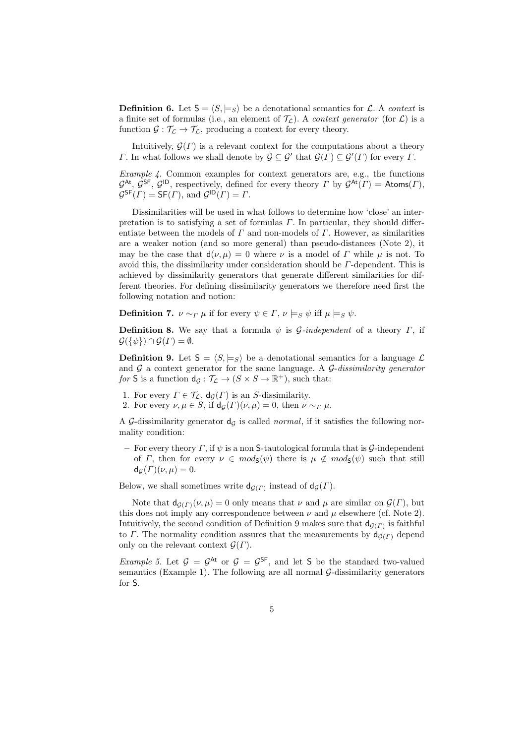**Definition 6.** Let  $S = \langle S, \models_S \rangle$  be a denotational semantics for L. A *context* is a finite set of formulas (i.e., an element of  $\mathcal{T}_\mathcal{L}$ ). A *context generator* (for  $\mathcal{L}$ ) is a function  $\mathcal{G} : \mathcal{T}_{\mathcal{L}} \to \mathcal{T}_{\mathcal{L}}$ , producing a context for every theory.

Intuitively,  $\mathcal{G}(\Gamma)$  is a relevant context for the computations about a theory *Γ*. In what follows we shall denote by  $\mathcal{G} \subseteq \mathcal{G}'$  that  $\mathcal{G}(\Gamma) \subseteq \mathcal{G}'(\Gamma)$  for every *Γ*.

*Example 4.* Common examples for context generators are, e.g., the functions  $G^{\text{At}}$ ,  $G^{\text{SF}}$ ,  $G^{\text{ID}}$ , respectively, defined for every theory *Γ* by  $G^{\text{At}}(F) = \text{Atoms}(F)$ ,  $\mathcal{G}^{\mathsf{SF}}(F) = \mathsf{SF}(F)$ , and  $\mathcal{G}^{\mathsf{ID}}(F) = F$ .

Dissimilarities will be used in what follows to determine how 'close' an interpretation is to satisfying a set of formulas *Γ*. In particular, they should differentiate between the models of *Γ* and non-models of *Γ*. However, as similarities are a weaker notion (and so more general) than pseudo-distances (Note 2), it may be the case that  $d(\nu, \mu) = 0$  where  $\nu$  is a model of  $\Gamma$  while  $\mu$  is not. To avoid this, the dissimilarity under consideration should be *Γ*-dependent. This is achieved by dissimilarity generators that generate different similarities for different theories. For defining dissimilarity generators we therefore need first the following notation and notion:

**Definition 7.**  $\nu \sim_{\Gamma} \mu$  if for every  $\psi \in \Gamma$ ,  $\nu \models_S \psi$  iff  $\mu \models_S \psi$ .

**Definition 8.** We say that a formula  $\psi$  is *G-independent* of a theory *Γ*, if  $\mathcal{G}(\{\psi\}) \cap \mathcal{G}(\Gamma) = \emptyset.$ 

**Definition 9.** Let  $S = \langle S, \models_S \rangle$  be a denotational semantics for a language  $\mathcal{L}$ and *G* a context generator for the same language. A *G*-*dissimilarity generator for* **S** is a function  $d_g: \mathcal{T}_\mathcal{L} \to (S \times S \to \mathbb{R}^+)$ , such that:

- 1. For every  $\Gamma \in \mathcal{T}_{\mathcal{L}}$ ,  $d_{\mathcal{G}}(\Gamma)$  is an *S*-dissimilarity.
- 2. For every  $\nu, \mu \in S$ , if  $d_G(\Gamma)(\nu, \mu) = 0$ , then  $\nu \sim_{\Gamma} \mu$ .

A G-dissimilarity generator  $d<sub>G</sub>$  is called *normal*, if it satisfies the following normality condition:

**–** For every theory *Γ*, if *ψ* is a non S-tautological formula that is *G*-independent of *Γ*, then for every  $\nu \in mod_{S}(\psi)$  there is  $\mu \notin mod_{S}(\psi)$  such that still  $d_G(\Gamma)(\nu,\mu)=0.$ 

Below, we shall sometimes write  $d_{\mathcal{G}(\Gamma)}$  instead of  $d_{\mathcal{G}}(\Gamma)$ .

Note that  $d_{G(F)}(\nu,\mu) = 0$  only means that  $\nu$  and  $\mu$  are similar on  $\mathcal{G}(F)$ , but this does not imply any correspondence between  $\nu$  and  $\mu$  elsewhere (cf. Note 2). Intuitively, the second condition of Definition 9 makes sure that  $d_{\mathcal{G}(\Gamma)}$  is faithful to *Γ*. The normality condition assures that the measurements by  $d_{G(\Gamma)}$  depend only on the relevant context  $\mathcal{G}(\Gamma)$ .

*Example 5.* Let  $G = G^{At}$  or  $G = G^{SF}$ , and let S be the standard two-valued semantics (Example 1). The following are all normal  $\mathcal{G}$ -dissimilarity generators for S.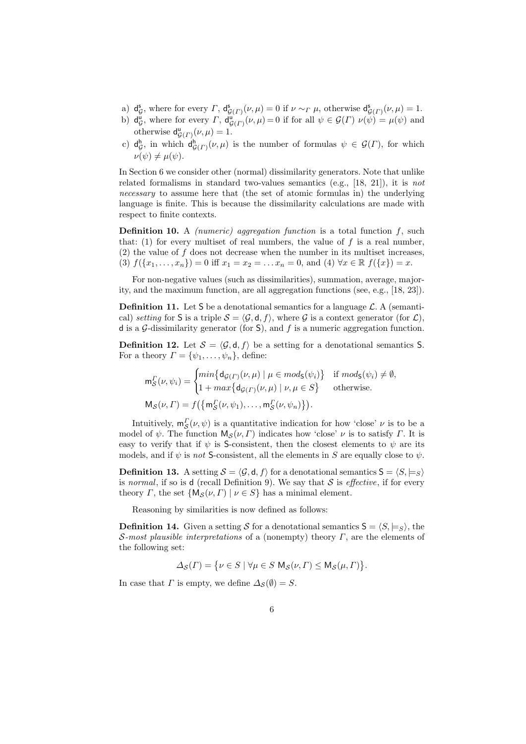- $a) d_c^s$ *G*, where for every *Γ*,  $d_{G(\Gamma)}^s(\nu,\mu) = 0$  if  $\nu \sim_T \mu$ , otherwise  $d_{G(\Gamma)}^s(\nu,\mu) = 1$ .
- b)  $d_c^u$ *g*, where for every *Γ*,  $d_{\mathcal{G}(F)}^{\mathbf{u}}(\nu,\mu) = 0$  if for all  $\psi \in \mathcal{G}(F)$   $\nu(\psi) = \mu(\psi)$  and otherwise  $d_{\mathcal{G}(\Gamma)}^{\mathsf{u}}(\nu,\mu) = 1.$
- $c)$  d<sup>h</sup>  $G$ , in which  $d_{\mathcal{G}(\Gamma)}^h(\nu,\mu)$  is the number of formulas  $\psi \in \mathcal{G}(\Gamma)$ , for which  $\nu(\psi) \neq \mu(\psi)$ .

In Section 6 we consider other (normal) dissimilarity generators. Note that unlike related formalisms in standard two-values semantics (e.g., [18, 21]), it is *not necessary* to assume here that (the set of atomic formulas in) the underlying language is finite. This is because the dissimilarity calculations are made with respect to finite contexts.

**Definition 10.** A *(numeric) aggregation function* is a total function *f*, such that:  $(1)$  for every multiset of real numbers, the value of  $f$  is a real number, (2) the value of *f* does not decrease when the number in its multiset increases, (3)  $f(\{x_1, \ldots, x_n\}) = 0$  iff  $x_1 = x_2 = \ldots x_n = 0$ , and (4)  $\forall x \in \mathbb{R}$   $f(\{x\}) = x$ .

For non-negative values (such as dissimilarities), summation, average, majority, and the maximum function, are all aggregation functions (see, e.g., [18, 23]).

**Definition 11.** Let S be a denotational semantics for a language  $\mathcal{L}$ . A (semantical) *setting* for **S** is a triple  $S = \langle \mathcal{G}, \mathsf{d}, f \rangle$ , where  $\mathcal{G}$  is a context generator (for  $\mathcal{L}$ ), d is a *G*-dissimilarity generator (for S), and *f* is a numeric aggregation function.

**Definition 12.** Let  $S = \langle \mathcal{G}, \mathsf{d}, f \rangle$  be a setting for a denotational semantics S. For a theory  $\Gamma = {\psi_1, \ldots, \psi_n}$ , define:

$$
\mathbf{m}_S^{\Gamma}(\nu, \psi_i) = \begin{cases} \min \{ \mathbf{d}_{\mathcal{G}(\Gamma)}(\nu, \mu) \mid \mu \in \text{mod}_{\mathsf{S}}(\psi_i) \} & \text{if } \text{mod}_{\mathsf{S}}(\psi_i) \neq \emptyset, \\ 1 + \max \{ \mathbf{d}_{\mathcal{G}(\Gamma)}(\nu, \mu) \mid \nu, \mu \in S \} & \text{otherwise.} \end{cases}
$$
\n
$$
\mathbf{M}_\mathcal{S}(\nu, \Gamma) = f\left( \{ \mathbf{m}_S^{\Gamma}(\nu, \psi_1), \dots, \mathbf{m}_S^{\Gamma}(\nu, \psi_n) \} \right).
$$

Intuitively,  $m_S^{\Gamma}(\nu, \psi)$  is a quantitative indication for how 'close'  $\nu$  is to be a *S* model of *ψ*. The function  $M_S(\nu, \Gamma)$  indicates how 'close' *ν* is to satisfy *Γ*. It is easy to verify that if  $\psi$  is S-consistent, then the closest elements to  $\psi$  are its models, and if  $\psi$  is *not* S-consistent, all the elements in *S* are equally close to  $\psi$ .

**Definition 13.** A setting  $S = \langle G, \mathsf{d}, f \rangle$  for a denotational semantics  $S = \langle S, \models_S \rangle$ is *normal*, if so is d (recall Definition 9). We say that  $S$  is *effective*, if for every theory *Γ*, the set  $\{M_S(\nu, \Gamma) | \nu \in S\}$  has a minimal element.

Reasoning by similarities is now defined as follows:

**Definition 14.** Given a setting *S* for a denotational semantics  $S = \langle S, \models_S \rangle$ , the *S-most plausible interpretations* of a (nonempty) theory *Γ*, are the elements of the following set:

$$
\varDelta_{\mathcal{S}}(\varGamma)=\big\{\nu\in S\mid \forall\mu\in S\ {\rm M}_{\mathcal{S}}(\nu,\varGamma)\leq {\rm M}_{\mathcal{S}}(\mu,\varGamma)\big\}.
$$

In case that *Γ* is empty, we define  $\Delta_S(\emptyset) = S$ .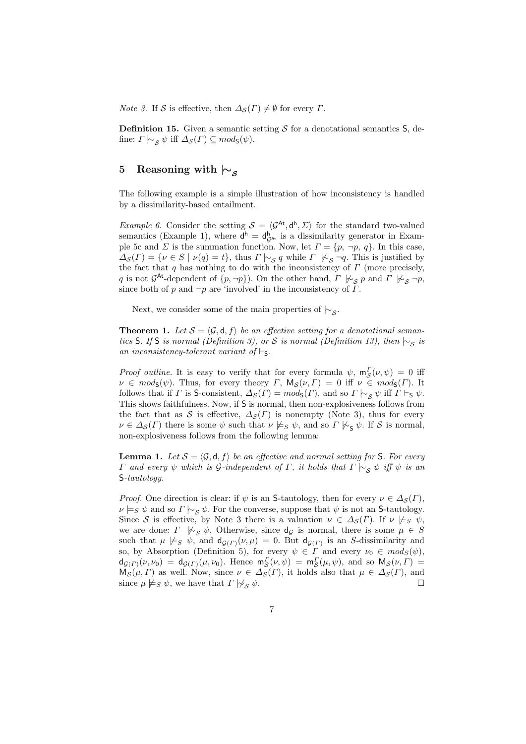*Note 3.* If *S* is effective, then  $\Delta_{\mathcal{S}}(\Gamma) \neq \emptyset$  for every  $\Gamma$ .

**Definition 15.** Given a semantic setting  $S$  for a denotational semantics  $S$ , define:  $\Gamma \models_S \psi$  iff  $\Delta_S(\Gamma) \subseteq mod_S(\psi)$ .

## **5 Reasoning with** *|∼<sup>S</sup>*

The following example is a simple illustration of how inconsistency is handled by a dissimilarity-based entailment.

*Example 6.* Consider the setting  $S = \langle G^{At}, d^{h}, \Sigma \rangle$  for the standard two-valued semantics (Example 1), where  $d^h = d^h_{\mathcal{G}^{At}}$  is a dissimilarity generator in Example 5c and *Σ* is the summation function. Now, let  $\Gamma = \{p, \neg p, q\}$ . In this case,  $\Delta_{\mathcal{S}}(\Gamma) = \{ \nu \in S \mid \nu(q) = t \},$  thus  $\Gamma \models_{\mathcal{S}} q$  while  $\Gamma \not\models_{\mathcal{S}} \neg q$ . This is justified by the fact that *q* has nothing to do with the inconsistency of *Γ* (more precisely, *q* is not  $\mathcal{G}^{\mathsf{At}}$ -dependent of  $\{p, \neg p\}$ ). On the other hand,  $\Gamma \not\models_{\mathcal{S}} p$  and  $\Gamma \not\models_{\mathcal{S}} \neg p$ , since both of  $p$  and  $\neg p$  are 'involved' in the inconsistency of  $\Gamma$ .

Next, we consider some of the main properties of *|∼<sup>S</sup>* .

**Theorem 1.** Let  $S = \langle \mathcal{G}, \mathbf{d}, f \rangle$  be an effective setting for a denotational seman*tics* S*.* If S *is normal (Definition 3), or S is normal (Definition 13), then*  $\vdash$ <sub>*S*</sub> *is an inconsistency-tolerant variant of*  $\vdash$ s.

*Proof outline.* It is easy to verify that for every formula  $\psi$ ,  $m_S^F(\nu, \psi) = 0$  iff  $\nu \in mod_5(\psi)$ . Thus, for every theory *Γ*, M<sub>S</sub>(*ν, Γ*) = 0 iff  $\nu \in mod_5(\Gamma)$ . It follows that if *Γ* is S-consistent,  $\Delta_{\mathcal{S}}(F) = mod_{\mathcal{S}}(F)$ , and so  $\Gamma \models_{\mathcal{S}} \psi$  iff  $\Gamma \models_{\mathcal{S}} \psi$ . This shows faithfulness. Now, if S is normal, then non-explosiveness follows from the fact that as *S* is effective,  $\Delta_{\mathcal{S}}(\Gamma)$  is nonempty (Note 3), thus for every  $\nu \in \Delta_{\mathcal{S}}(\Gamma)$  there is some  $\psi$  such that  $\nu \not\models_{S} \psi$ , and so  $\Gamma \not\models_{\mathsf{S}} \psi$ . If *S* is normal, non-explosiveness follows from the following lemma:

**Lemma 1.** Let  $S = \langle \mathcal{G}, \mathsf{d}, f \rangle$  be an effective and normal setting for S. For every *Γ and every*  $ψ$  *which is*  $G$ *-independent of*  $Γ$ *, it holds that*  $Γ$   $\sim$ <sub>*S*</sub>  $ψ$  *iff*  $ψ$  *is an* S*-tautology.*

*Proof.* One direction is clear: if  $\psi$  is an S-tautology, then for every  $\nu \in \Delta_{\mathcal{S}}(\Gamma)$ ,  $\nu \models_S \psi$  and so  $\Gamma \models_S \psi$ . For the converse, suppose that  $\psi$  is not an S-tautology. Since *S* is effective, by Note 3 there is a valuation  $\nu \in \Delta_{\mathcal{S}}(\Gamma)$ . If  $\nu \not\models_{S} \psi$ , we are done: *Γ*  $\forall z \ \psi$ . Otherwise, since  $d_{\mathcal{G}}$  is normal, there is some  $\mu \in S$ such that  $\mu \not\models s \psi$ , and  $d_{\mathcal{G}(\Gamma)}(\nu,\mu) = 0$ . But  $d_{\mathcal{G}(\Gamma)}$  is an *S*-dissimilarity and so, by Absorption (Definition 5), for every  $\psi \in \Gamma$  and every  $\nu_0 \in mod_S(\psi)$ ,  $d_{\mathcal{G}(F)}(\nu,\nu_0) = d_{\mathcal{G}(F)}(\mu,\nu_0)$ . Hence  $m_S^F(\nu,\psi) = m_S^F(\mu,\psi)$ , and so  $M_S(\nu,\Gamma) =$  $\mathcal{S}(H, V)$  as well. Now, since  $\nu \in \Delta_{\mathcal{S}}(F)$ , it holds also that  $\mu \in \Delta_{\mathcal{S}}(F)$ , and  $\mathcal{S}(H, V)$  as well. Now, since  $\nu \in \Delta_{\mathcal{S}}(F)$ , and since  $\mu \not\models_{S} \psi$ , we have that  $\Gamma \not\models_{S} \psi$ .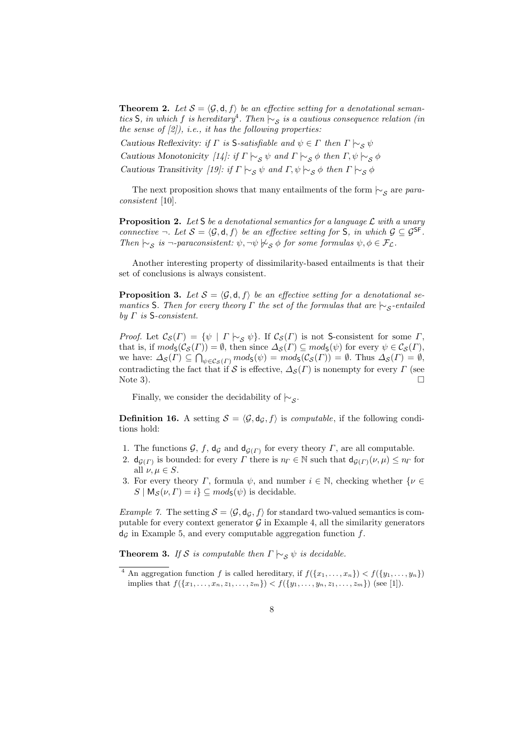**Theorem 2.** Let  $S = \langle \mathcal{G}, \mathsf{d}, f \rangle$  be an effective setting for a denotational seman*tics* S*, in which f is hereditary*<sup>4</sup>. Then  $\vdash$  *s is a cautious consequence relation (in the sense of [2]), i.e., it has the following properties:*

*Cautious Reflexivity: if*  $\Gamma$  *is* S-*satisfiable and*  $\psi \in \Gamma$  *then*  $\Gamma \vdash_S \psi$ 

*Cautious Monotonicity* [14]: if  $\Gamma \vdash_{\mathcal{S}} \psi$  and  $\Gamma \vdash_{\mathcal{S}} \phi$  then  $\Gamma, \psi \vdash_{\mathcal{S}} \phi$ 

*Cautious Transitivity* [19]: if  $\Gamma \vdash_{\mathcal{S}} \psi$  and  $\Gamma, \psi \vdash_{\mathcal{S}} \phi$  then  $\Gamma \vdash_{\mathcal{S}} \phi$ 

The next proposition shows that many entailments of the form  $\sim$ <sup>*S*</sup> are *paraconsistent* [10].

**Proposition 2.** *Let* S *be a denotational semantics for a language L with a unary connective*  $\neg$ *. Let*  $S = \langle \mathcal{G}, \mathsf{d}, \mathsf{f} \rangle$  *be an effective setting for* S*, in which*  $\mathcal{G} \subseteq \mathcal{G}^{\mathsf{SF}}$ *. Then*  $\mid \sim_S$  *is*  $\neg$ -*paraconsistent:*  $\psi$ *,*  $\neg \psi \not\sim_S \phi$  *for some formulas*  $\psi, \phi \in \mathcal{F}_\mathcal{L}$ *.* 

Another interesting property of dissimilarity-based entailments is that their set of conclusions is always consistent.

**Proposition 3.** Let  $S = \langle \mathcal{G}, \mathsf{d}, \mathsf{f} \rangle$  be an effective setting for a denotational se*mantics* S*. Then for every theory Γ the set of the formulas that are*  $\mid \sim$ <sub>*S*</sub>-entailed *by Γ is* S*-consistent.*

*Proof.* Let  $\mathcal{C}_{\mathcal{S}}(\Gamma) = \{ \psi \mid \Gamma \mid \neg \mathcal{S} \psi \}.$  If  $\mathcal{C}_{\mathcal{S}}(\Gamma)$  is not S-consistent for some  $\Gamma$ , that is, if  $mod_{\mathsf{S}}(\mathcal{C}_{\mathcal{S}}(\Gamma)) = \emptyset$ , then since  $\Delta_{\mathcal{S}}(\Gamma) \subseteq mod_{\mathsf{S}}(\psi)$  for every  $\psi \in \mathcal{C}_{\mathcal{S}}(\Gamma)$ , we have:  $\Delta_{\mathcal{S}}(\Gamma) \subseteq \bigcap_{\psi \in \mathcal{C}_{\mathcal{S}}(\Gamma)} mod_{\mathcal{S}}(\psi) = mod_{\mathcal{S}}(\mathcal{C}_{\mathcal{S}}(\Gamma)) = \emptyset$ . Thus  $\Delta_{\mathcal{S}}(\Gamma) = \emptyset$ , contradicting the fact that if *S* is effective,  $\Delta_{\mathcal{S}}(\Gamma)$  is nonempty for every  $\Gamma$  (see Note 3). Note 3).

Finally, we consider the decidability of *|∼<sup>S</sup>* .

**Definition 16.** A setting  $S = \langle \mathcal{G}, d_{\mathcal{G}}, f \rangle$  is *computable*, if the following conditions hold:

- 1. The functions  $G$ ,  $f$ ,  $d_G$  and  $d_{G(\Gamma)}$  for every theory  $\Gamma$ , are all computable.
- 2.  $d_{\mathcal{G}(F)}$  is bounded: for every *Γ* there is  $n_F \in \mathbb{N}$  such that  $d_{\mathcal{G}(F)}(\nu,\mu) \leq n_F$  for all  $\nu, \mu \in S$ .
- 3. For every theory *Γ*, formula  $\psi$ , and number  $i \in \mathbb{N}$ , checking whether  $\{\nu \in \mathbb{N}\}$  $S | M_{\mathcal{S}}(\nu, \Gamma) = i$   $\subseteq mod_{\mathcal{S}}(\psi)$  is decidable.

*Example 7.* The setting  $S = \langle \mathcal{G}, \mathsf{d}_{\mathcal{G}}, f \rangle$  for standard two-valued semantics is computable for every context generator  $\mathcal G$  in Example 4, all the similarity generators  $d<sub>G</sub>$  in Example 5, and every computable aggregation function  $f$ .

**Theorem 3.** *If S is computable then*  $\Gamma \nightharpoonup_S \psi$  *is decidable.* 

<sup>&</sup>lt;sup>4</sup> An aggregation function *f* is called hereditary, if  $f(\lbrace x_1, \ldots, x_n \rbrace) < f(\lbrace y_1, \ldots, y_n \rbrace)$ implies that  $f(\{x_1, \ldots, x_n, z_1, \ldots, z_m\}) < f(\{y_1, \ldots, y_n, z_1, \ldots, z_m\})$  (see [1]).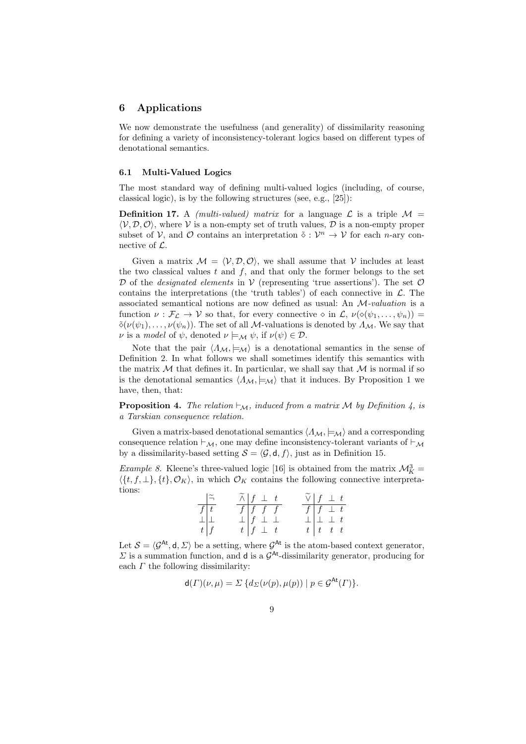#### **6 Applications**

We now demonstrate the usefulness (and generality) of dissimilarity reasoning for defining a variety of inconsistency-tolerant logics based on different types of denotational semantics.

#### **6.1 Multi-Valued Logics**

The most standard way of defining multi-valued logics (including, of course, classical logic), is by the following structures (see, e.g., [25]):

**Definition 17.** A *(multi-valued) matrix* for a language  $\mathcal{L}$  is a triple  $\mathcal{M} =$  $\langle V, \mathcal{D}, \mathcal{O} \rangle$ , where V is a non-empty set of truth values,  $\mathcal{D}$  is a non-empty proper subset of *V*, and  $\mathcal{O}$  contains an interpretation  $\tilde{\diamond}: \mathcal{V}^n \to \mathcal{V}$  for each *n*-ary connective of *L*.

Given a matrix  $M = \langle V, \mathcal{D}, \mathcal{O} \rangle$ , we shall assume that V includes at least the two classical values  $t$  and  $f$ , and that only the former belongs to the set  $D$  of the *designated elements* in  $V$  (representing 'true assertions'). The set  $O$ contains the interpretations (the 'truth tables') of each connective in  $\mathcal{L}$ . The associated semantical notions are now defined as usual: An *M-valuation* is a function  $\nu : \mathcal{F}_\mathcal{L} \to \mathcal{V}$  so that, for every connective  $\diamond$  in  $\mathcal{L}, \nu(\diamond(\psi_1, \ldots, \psi_n)) =$  $\tilde{\diamond}(\nu(\psi_1),\ldots,\nu(\psi_n)).$  The set of all *M*-valuations is denoted by  $\Lambda_M$ . We say that *ν* is a *model* of  $\psi$ , denoted  $\nu \models_M \psi$ , if  $\nu(\psi) \in \mathcal{D}$ .

Note that the pair  $\langle A_{\mathcal{M}}, \models_{\mathcal{M}} \rangle$  is a denotational semantics in the sense of Definition 2. In what follows we shall sometimes identify this semantics with the matrix  $M$  that defines it. In particular, we shall say that  $M$  is normal if so is the denotational semantics  $\langle A_{\mathcal{M}}, \models_{\mathcal{M}} \rangle$  that it induces. By Proposition 1 we have, then, that:

**Proposition 4.** *The relation*  $\vdash_{\mathcal{M}}$ *, induced from a matrix*  $\mathcal{M}$  *by Definition 4, is a Tarskian consequence relation.*

Given a matrix-based denotational semantics  $\langle \Lambda_M, \models_M \rangle$  and a corresponding consequence relation *⊢M*, one may define inconsistency-tolerant variants of *⊢<sup>M</sup>* by a dissimilarity-based setting  $S = \langle \mathcal{G}, \mathsf{d}, f \rangle$ , just as in Definition 15.

*Example 8.* Kleene's three-valued logic [16] is obtained from the matrix  $\mathcal{M}_K^3$  =  $\langle \{t, f, \perp\}, \{t\}, \mathcal{O}_K \rangle$ , in which  $\mathcal{O}_K$  contains the following connective interpretations:

|                                     | $\perp$ $\tilde{\neg}$ | $\widetilde{\wedge}$ f $\perp$ t |                                                                |  | $\widetilde{\vee}$ $\begin{array}{ccc} f & \perp & t \end{array}$ |                            |  |
|-------------------------------------|------------------------|----------------------------------|----------------------------------------------------------------|--|-------------------------------------------------------------------|----------------------------|--|
| $\sqrt{t}$                          |                        |                                  | $\begin{array}{c cc} f & f & f \\ \bot & f & \bot \end{array}$ |  |                                                                   | $f \mid f \perp t$         |  |
|                                     |                        |                                  |                                                                |  |                                                                   | $\perp$ $\perp$ $\perp$ t  |  |
| $\frac{\perp}{t}$ $\frac{\perp}{f}$ |                        |                                  | $t \left  \begin{array}{ccc} f \end{array} \right  \perp t$    |  |                                                                   | $t \left  t \right  t$ t t |  |

Let  $\mathcal{S} = \langle \mathcal{G}^{\mathsf{At}}, \mathsf{d}, \Sigma \rangle$  be a setting, where  $\mathcal{G}^{\mathsf{At}}$  is the atom-based context generator, *Σ* is a summation function, and d is a *G* At-dissimilarity generator, producing for each *Γ* the following dissimilarity:

$$
\mathsf{d}(\Gamma)(\nu,\mu) = \Sigma \{ d_{\Sigma}(\nu(p), \mu(p)) \mid p \in \mathcal{G}^{\mathsf{At}}(\Gamma) \}.
$$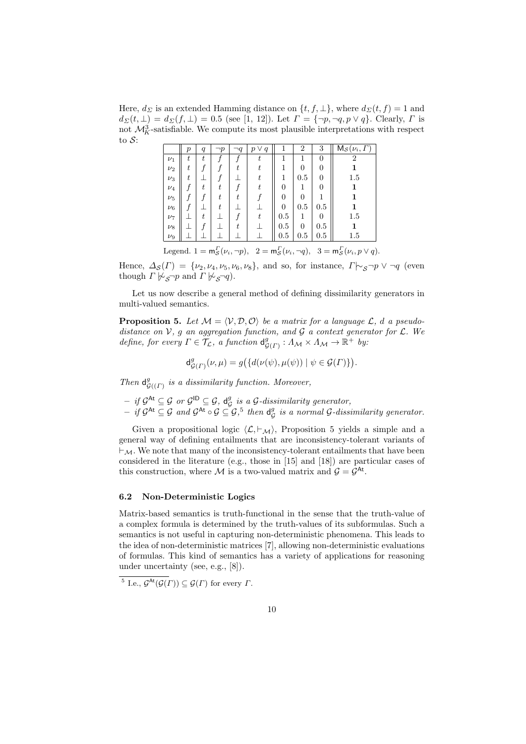Here,  $d_{\Sigma}$  is an extended Hamming distance on  $\{t, f, \bot\}$ , where  $d_{\Sigma}(t, f) = 1$  and  $d_{\Sigma}(t, \perp) = d_{\Sigma}(f, \perp) = 0.5$  (see [1, 12]). Let  $\Gamma = \{\neg p, \neg q, p \lor q\}$ . Clearly,  $\Gamma$  is not  $\mathcal{M}_{K}^{3}$ -satisfiable. We compute its most plausible interpretations with respect to *S*:

|         | $\boldsymbol{p}$ | $\boldsymbol{q}$ | $\neg p$         | $\neg q$ | $\vee q$<br>$\boldsymbol{p}$ |                | 2        | 3        | $M_{\mathcal{S}}(\nu_i,\Gamma)$ |
|---------|------------------|------------------|------------------|----------|------------------------------|----------------|----------|----------|---------------------------------|
| $\nu_1$ | $\boldsymbol{t}$ | $t\,$            |                  |          | t                            | 1              | 1        | $\theta$ | 2                               |
| $\nu_2$ | t                |                  |                  | t        | t                            |                | 0        | 0        |                                 |
| $\nu_3$ | t                |                  |                  |          | t                            | 1              | 0.5      | 0        | 1.5                             |
| $\nu_4$ |                  | t                | t                |          | t                            | $\overline{0}$ |          | 0        | 1                               |
| $\nu_5$ |                  |                  | t                | t.       |                              | $\theta$       | 0        | 1        | 1                               |
| $\nu_6$ |                  |                  | $\scriptstyle t$ |          |                              | $\overline{0}$ | 0.5      | 0.5      | 1                               |
| $\nu_7$ |                  | $\boldsymbol{t}$ |                  |          | t                            | 0.5            | 1        | 0        | 1.5                             |
| $\nu_8$ |                  |                  |                  | t.       |                              | 0.5            | $\theta$ | 0.5      | 1                               |
| $\nu_9$ |                  |                  |                  |          |                              | 0.5            | 0.5      | 0.5      | 1.5                             |

Legend.  $1 = m_S^{\Gamma}(\nu_i, \neg p)$ ,  $2 = m_S^{\Gamma}(\nu_i, \neg q)$ ,  $3 = m_S^{\Gamma}(\nu_i, p \lor q)$ .

Hence,  $\Delta_{\mathcal{S}}(\Gamma) = \{\nu_2, \nu_4, \nu_5, \nu_6, \nu_8\}$ , and so, for instance,  $\Gamma \sim_{\mathcal{S}} \neg p \lor \neg q$  (even though  $\Gamma \not\vdash_S \neg p$  and  $\Gamma \not\vdash_S \neg q$ .

Let us now describe a general method of defining dissimilarity generators in multi-valued semantics.

**Proposition 5.** Let  $M = \langle V, D, O \rangle$  be a matrix for a language  $\mathcal{L}$ , *d* a pseudo*distance on V, g an aggregation function, and G a context generator for L. We define, for every*  $\Gamma \in \widetilde{\mathcal{T}}_{\mathcal{L}}$ *, a function*  $d_{\mathcal{G}}^g$  $^g_{\mathcal{G}(\Gamma)}: A_{\mathcal{M}} \times A_{\mathcal{M}} \to \mathbb{R}^+$  *by:* 

$$
\mathrm{d}^g_{\mathcal{G}(\varGamma)}(\nu,\mu)=g\big(\{d(\nu(\psi),\mu(\psi))\mid\psi\in\mathcal{G}(\varGamma)\}\big).
$$

*Then*  $d_c^g$ *G*((*Γ*) *is a dissimilarity function. Moreover,*

- $-$  *if*  $\mathcal{G}^{\mathsf{At}} \subseteq \mathcal{G}$  *or*  $\mathcal{G}^{\mathsf{ID}} \subseteq \mathcal{G}$ *,*  $\mathsf{d}_{\mathcal{G}}^g$ *G is a G-dissimilarity generator,*
- $-$  *if*  $\mathcal{G}^{\mathsf{At}} \subseteq \mathcal{G}$  and  $\mathcal{G}^{\mathsf{At}} \circ \mathcal{G} \subseteq \mathcal{G}$ ,<sup>5</sup> then  $\mathsf{d}_{\mathcal{C}}^{\mathsf{af}}$ *G is a normal G-dissimilarity generator.*

Given a propositional logic  $\langle \mathcal{L}, \vdash_{\mathcal{M}} \rangle$ , Proposition 5 yields a simple and a general way of defining entailments that are inconsistency-tolerant variants of *⊢M*. We note that many of the inconsistency-tolerant entailments that have been considered in the literature (e.g., those in [15] and [18]) are particular cases of this construction, where  $M$  is a two-valued matrix and  $G = \mathcal{G}^{At}$ .

### **6.2 Non-Deterministic Logics**

Matrix-based semantics is truth-functional in the sense that the truth-value of a complex formula is determined by the truth-values of its subformulas. Such a semantics is not useful in capturing non-deterministic phenomena. This leads to the idea of non-deterministic matrices [7], allowing non-deterministic evaluations of formulas. This kind of semantics has a variety of applications for reasoning under uncertainty (see, e.g., [8]).

<sup>5</sup> I.e.,  $\mathcal{G}^{\text{At}}(\mathcal{G}(\Gamma)) \subseteq \mathcal{G}(\Gamma)$  for every  $\Gamma$ .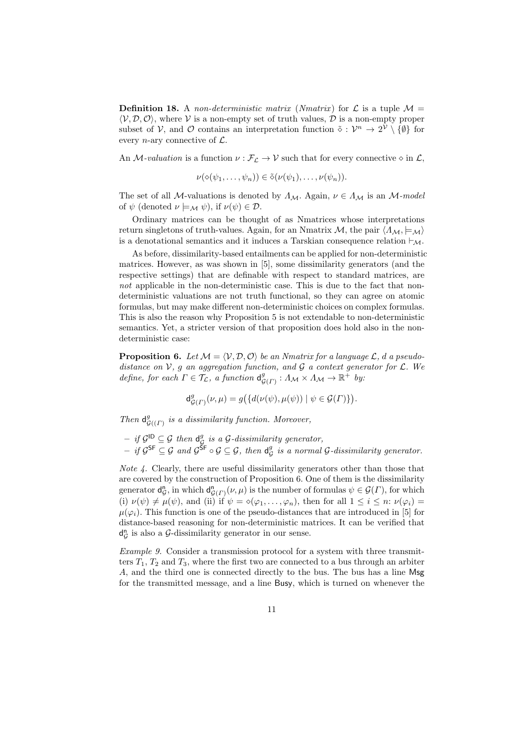**Definition 18.** A *non-deterministic matrix* (*Nmatrix*) for  $\mathcal{L}$  is a tuple  $\mathcal{M} =$  $\langle V, \mathcal{D}, \mathcal{O} \rangle$ , where *V* is a non-empty set of truth values,  $\mathcal D$  is a non-empty proper subset of *V*, and *O* contains an interpretation function  $\tilde{\diamond}: \mathcal{V}^n \to 2^{\mathcal{V}} \setminus \{\emptyset\}$  for every *n*-ary connective of *L*.

An *M*-valuation is a function  $\nu : \mathcal{F}_\mathcal{L} \to \mathcal{V}$  such that for every connective  $\diamond$  in  $\mathcal{L}$ ,

$$
\nu(\diamond(\psi_1,\ldots,\psi_n))\in\tilde{\diamond}(\nu(\psi_1),\ldots,\nu(\psi_n)).
$$

The set of all *M*-valuations is denoted by  $\Lambda_M$ . Again,  $\nu \in \Lambda_M$  is an *M*-model of  $\psi$  (denoted  $\nu \models_{\mathcal{M}} \psi$ ), if  $\nu(\psi) \in \mathcal{D}$ .

Ordinary matrices can be thought of as Nmatrices whose interpretations return singletons of truth-values. Again, for an Nmatrix *M*, the pair  $\langle \Lambda_M, \models_M \rangle$ is a denotational semantics and it induces a Tarskian consequence relation *⊢M*.

As before, dissimilarity-based entailments can be applied for non-deterministic matrices. However, as was shown in [5], some dissimilarity generators (and the respective settings) that are definable with respect to standard matrices, are *not* applicable in the non-deterministic case. This is due to the fact that nondeterministic valuations are not truth functional, so they can agree on atomic formulas, but may make different non-deterministic choices on complex formulas. This is also the reason why Proposition 5 is not extendable to non-deterministic semantics. Yet, a stricter version of that proposition does hold also in the nondeterministic case:

**Proposition 6.** Let  $M = \langle V, D, \mathcal{O} \rangle$  be an Nmatrix for a language  $\mathcal{L}$ , *d* a pseudo*distance on V, g an aggregation function, and G a context generator for L. We define, for each*  $\Gamma \in \mathcal{T}_\mathcal{L}$ *, a function*  $d_{\mathcal{L}}^g$  $^g_{\mathcal{G}(\Gamma)}: A_{\mathcal{M}} \times A_{\mathcal{M}} \to \mathbb{R}^+$  *by:* 

$$
\mathrm{d}^g_{\mathcal{G}(\Gamma)}(\nu,\mu) = g\big(\{d(\nu(\psi),\mu(\psi)) \mid \psi \in \mathcal{G}(\Gamma)\}\big).
$$

*Then*  $d_G^g$ *G*((*Γ*) *is a dissimilarity function. Moreover,*

 $-$  *if*  $\mathcal{G}^{\mathsf{ID}} \subseteq \mathcal{G}$  *then*  $\mathsf{d}_{\mathcal{C}}^g$ *G is a G-dissimilarity generator,*

 $-$  *if*  $\mathcal{G}^{\mathsf{SF}} \subseteq \mathcal{G}$  and  $\mathcal{G}^{\mathsf{SF}} \circ \mathcal{G} \subseteq \mathcal{G}$ , then  $\mathsf{d}^g_\mathcal{G}$ *G is a normal G-dissimilarity generator.*

*Note 4.* Clearly, there are useful dissimilarity generators other than those that are covered by the construction of Proposition 6. One of them is the dissimilarity generator d n  $G$ , in which  $d_{\mathcal{G}(\Gamma)}^n(\nu,\mu)$  is the number of formulas  $\psi \in \mathcal{G}(\Gamma)$ , for which (i)  $\nu(\psi) \neq \mu(\psi)$ , and (ii) if  $\psi = \diamond(\varphi_1, \ldots, \varphi_n)$ , then for all  $1 \leq i \leq n$ :  $\nu(\varphi_i) =$  $\mu(\varphi_i)$ . This function is one of the pseudo-distances that are introduced in [5] for distance-based reasoning for non-deterministic matrices. It can be verified that d n  $G$ <sup>n</sup> *G* is also a *G*-dissimilarity generator in our sense.

*Example 9.* Consider a transmission protocol for a system with three transmitters  $T_1$ ,  $T_2$  and  $T_3$ , where the first two are connected to a bus through an arbiter *A*, and the third one is connected directly to the bus. The bus has a line Msg for the transmitted message, and a line Busy, which is turned on whenever the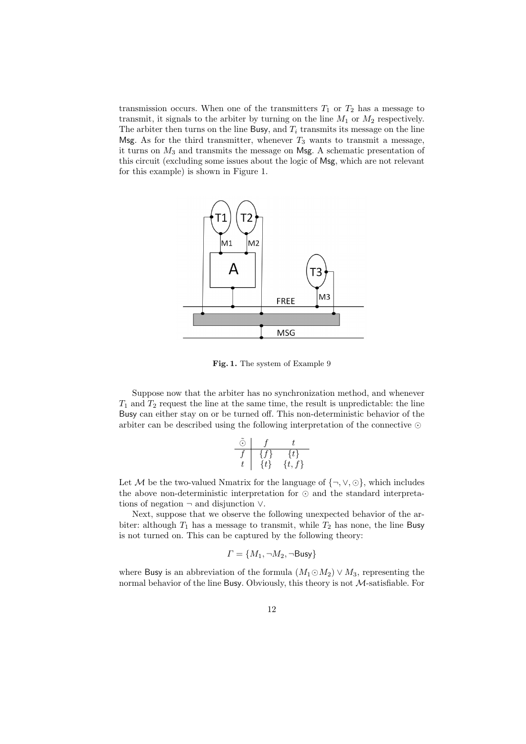transmission occurs. When one of the transmitters  $T_1$  or  $T_2$  has a message to transmit, it signals to the arbiter by turning on the line *M*<sup>1</sup> or *M*<sup>2</sup> respectively. The arbiter then turns on the line Busy, and  $T_i$  transmits its message on the line Msg. As for the third transmitter, whenever  $T_3$  wants to transmit a message, it turns on *M*<sup>3</sup> and transmits the message on Msg. A schematic presentation of this circuit (excluding some issues about the logic of Msg, which are not relevant for this example) is shown in Figure 1.



**Fig. 1.** The system of Example 9

Suppose now that the arbiter has no synchronization method, and whenever  $T_1$  and  $T_2$  request the line at the same time, the result is unpredictable: the line Busy can either stay on or be turned off. This non-deterministic behavior of the arbiter can be described using the following interpretation of the connective *⊙*

$$
\begin{array}{c|cc}\n\tilde{\odot} & f & t \\
\hline\nf & \{f\} & \{t\} \\
t & \{t\} & \{t,f\}\n\end{array}
$$

Let *M* be the two-valued Nmatrix for the language of  $\{\neg, \vee, \odot\}$ , which includes the above non-deterministic interpretation for *⊙* and the standard interpretations of negation *¬* and disjunction *∨*.

Next, suppose that we observe the following unexpected behavior of the arbiter: although  $T_1$  has a message to transmit, while  $T_2$  has none, the line Busy is not turned on. This can be captured by the following theory:

$$
\Gamma = \{M_1, \neg M_2, \neg \mathsf{Busy}\}
$$

where Busy is an abbreviation of the formula  $(M_1 \odot M_2) \vee M_3$ , representing the normal behavior of the line Busy. Obviously, this theory is not *M*-satisfiable. For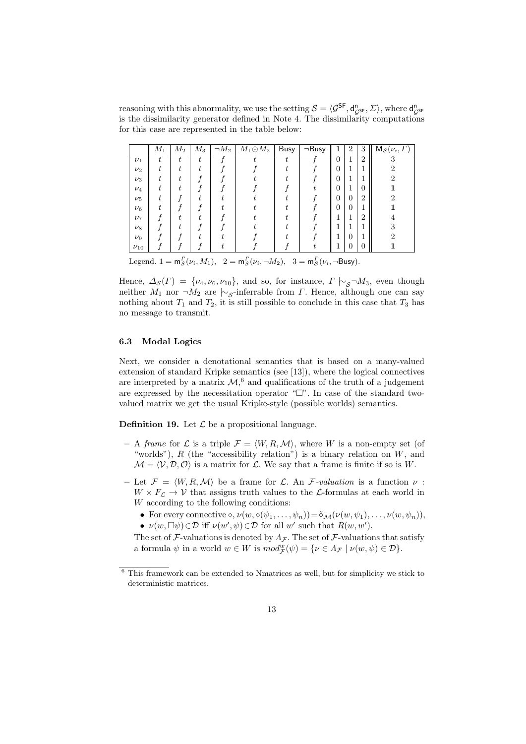reasoning with this abnormality, we use the setting  $S = \langle \mathcal{G}^{SF}, d_{gsF}^{n}, \Sigma \rangle$ , where  $d_{gsF}^{n}$ is the dissimilarity generator defined in Note 4. The dissimilarity computations for this case are represented in the table below:

|            | $M_1$ | $M_2$ | $M_3$ | $\neg M_2$ | $M_1 \odot M_2$ | , Busy | $\neg$ Busy | T              | $\overline{2}$ | 3              | $M_{\mathcal{S}}(\nu_i,\Gamma)$ |
|------------|-------|-------|-------|------------|-----------------|--------|-------------|----------------|----------------|----------------|---------------------------------|
| $\nu_1$    | t.    | t     | t.    |            |                 | t.     |             | $\overline{0}$ | 1              | $\overline{2}$ | 3                               |
| $\nu_2$    |       |       |       |            |                 |        |             | $\overline{0}$ |                |                |                                 |
| $\nu_3$    |       |       |       |            |                 |        |             | $\overline{0}$ |                |                | റ                               |
| $\nu_4$    |       |       |       |            |                 |        |             | $\overline{0}$ |                | 0              |                                 |
| $\nu_5$    |       |       |       |            |                 |        |             | $\overline{0}$ | $\Omega$       | $\overline{2}$ |                                 |
| $\nu_6$    |       |       |       |            |                 |        |             | $\overline{0}$ | $\Omega$       |                |                                 |
| $\nu_7$    |       |       |       |            |                 |        |             | ٠<br>ı         |                | 2              |                                 |
| $\nu_8$    |       |       |       |            |                 |        |             | ٠              |                |                | ച                               |
| $\nu_9$    |       |       |       |            |                 |        |             | 1              | $\Omega$       |                | ച                               |
| $\nu_{10}$ |       |       |       |            |                 |        |             |                |                | 0              |                                 |

Legend.  $1 = m_S^{\Gamma}(\nu_i, M_1)$ ,  $2 = m_S^{\Gamma}(\nu_i, \neg M_2)$ ,  $3 = m_S^{\Gamma}(\nu_i, \neg \text{Busy})$ .

Hence,  $\Delta_{\mathcal{S}}(\Gamma) = \{\nu_4, \nu_6, \nu_{10}\},\$ and so, for instance,  $\Gamma \models_{\mathcal{S}} \neg M_3$ , even though neither  $M_1$  nor  $\neg M_2$  are  $\sim$ <sub>*S*</sub>-inferrable from *Γ*. Hence, although one can say nothing about  $T_1$  and  $T_2$ , it is still possible to conclude in this case that  $T_3$  has no message to transmit.

#### **6.3 Modal Logics**

Next, we consider a denotational semantics that is based on a many-valued extension of standard Kripke semantics (see [13]), where the logical connectives are interpreted by a matrix  $M$ ,<sup>6</sup> and qualifications of the truth of a judgement are expressed by the necessitation operator " $\Box$ ". In case of the standard twovalued matrix we get the usual Kripke-style (possible worlds) semantics.

**Definition 19.** Let  $\mathcal{L}$  be a propositional language.

- $-$  A *frame* for  $\mathcal{L}$  is a triple  $\mathcal{F} = \langle W, R, \mathcal{M} \rangle$ , where W is a non-empty set (of "worlds"), *R* (the "accessibility relation") is a binary relation on *W*, and  $\mathcal{M} = \langle \mathcal{V}, \mathcal{D}, \mathcal{O} \rangle$  is a matrix for  $\mathcal{L}$ . We say that a frame is finite if so is *W*.
- $-$  Let  $\mathcal{F} = \langle W, R, \mathcal{M} \rangle$  be a frame for  $\mathcal{L}$ . An  $\mathcal{F}$ *-valuation* is a function  $\nu$ :  $W \times F_{\mathcal{L}} \to V$  that assigns truth values to the  $\mathcal{L}$ -formulas at each world in *W* according to the following conditions:
	- For every connective  $\diamond$ ,  $\nu(w, \diamond(\psi_1, \ldots, \psi_n)) = \tilde{\diamond}_{\mathcal{M}}(\nu(w, \psi_1), \ldots, \nu(w, \psi_n)),$
	- $\nu(w, \Box \psi) \in \mathcal{D}$  iff  $\nu(w', \psi) \in \mathcal{D}$  for all *w'* such that  $R(w, w')$ .

The set of *F*-valuations is denoted by  $\Lambda$ *<sub>F</sub>*. The set of *F*-valuations that satisfy a formula  $\psi$  in a world  $w \in W$  is  $mod_{\mathcal{F}}^w(\psi) = \{ \nu \in \Lambda_{\mathcal{F}} \mid \nu(w, \psi) \in \mathcal{D} \}.$ 

 $6$  This framework can be extended to Nmatrices as well, but for simplicity we stick to deterministic matrices.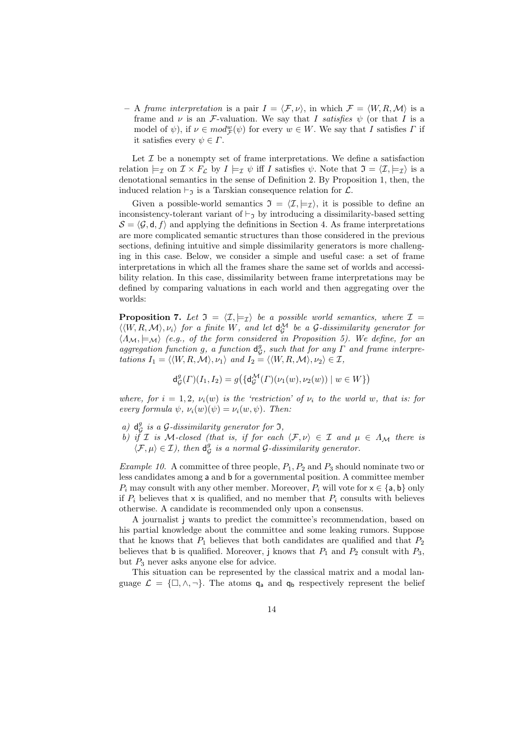$-$  A *frame interpretation* is a pair  $I = \langle F, \nu \rangle$ , in which  $\mathcal{F} = \langle W, R, \mathcal{M} \rangle$  is a frame and  $\nu$  is an *F*-valuation. We say that *I* satisfies  $\psi$  (or that *I* is a model of  $\psi$ ), if  $\nu \in mod^w_{\mathcal{F}}(\psi)$  for every  $w \in W$ . We say that *I* satisfies *Γ* if it satisfies every  $\psi \in \Gamma$ .

Let  $I$  be a nonempty set of frame interpretations. We define a satisfaction relation  $\models_{\mathcal{I}}$  on  $\mathcal{I} \times F_{\mathcal{L}}$  by  $I \models_{\mathcal{I}} \psi$  iff *I* satisfies  $\psi$ . Note that  $\mathcal{I} = \langle \mathcal{I}, \models_{\mathcal{I}} \rangle$  is a denotational semantics in the sense of Definition 2. By Proposition 1, then, the induced relation  $\vdash_{\mathfrak{I}}$  is a Tarskian consequence relation for  $\mathcal{L}$ .

Given a possible-world semantics  $\mathfrak{I} = \langle \mathcal{I}, \models_{\mathcal{I}} \rangle$ , it is possible to define an inconsistency-tolerant variant of *⊢*<sup>I</sup> by introducing a dissimilarity-based setting  $\mathcal{S} = \langle \mathcal{G}, \mathsf{d}, f \rangle$  and applying the definitions in Section 4. As frame interpretations are more complicated semantic structures than those considered in the previous sections, defining intuitive and simple dissimilarity generators is more challenging in this case. Below, we consider a simple and useful case: a set of frame interpretations in which all the frames share the same set of worlds and accessibility relation. In this case, dissimilarity between frame interpretations may be defined by comparing valuations in each world and then aggregating over the worlds:

**Proposition 7.** Let  $\mathfrak{I} = \langle \mathcal{I}, \models_{\mathcal{I}} \rangle$  be a possible world semantics, where  $\mathcal{I} =$  $\langle\langle W, R, \mathcal{M} \rangle, \nu_i \rangle$  for a finite W, and let  $\mathsf{d}_\mathcal{G}^{\mathcal{M}}$  be a  $\mathcal{G}$ -dissimilarity generator for  $\langle A_M, \models_M \rangle$  (e.g., of the form considered in Proposition 5). We define, for an *aggregation function g, a function* d *g , such that for any Γ and frame interpre-* $\mathcal{F}_{\mathcal{F}}$  *tations*  $I_1 = \langle \langle W, R, \mathcal{M} \rangle, \nu_1 \rangle$  *and*  $I_2 = \langle \langle W, R, \mathcal{M} \rangle, \nu_2 \rangle \in \mathcal{I}$ ,

$$
\mathrm{d}^g_\mathcal{G}(\varGamma)(I_1,I_2)=g\big(\{\mathrm{d}^\mathcal{M}_\mathcal{G}(\varGamma)(\nu_1(w),\nu_2(w))\mid w\in W\}\big)
$$

*where, for*  $i = 1, 2, \nu_i(w)$  *is the 'restriction' of*  $\nu_i$  *to the world w, that is: for every formula*  $\psi$ ,  $\nu_i(w)(\psi) = \nu_i(w, \psi)$ . Then:

- *a*)  $d_G^g$  *is a G*-dissimilarity generator for 3,
- *b)* if *I* is *M*-closed (that is, if for each  $\langle F, \nu \rangle \in I$  and  $\mu \in \Lambda_M$  there is  $\langle \mathcal{F}, \mu \rangle \in \mathcal{I}$ , then  $d_c^g$ *G is a normal G-dissimilarity generator.*

*Example 10.* A committee of three people, *P*1*, P*<sup>2</sup> and *P*<sup>3</sup> should nominate two or less candidates among a and b for a governmental position. A committee member  $P_i$  may consult with any other member. Moreover,  $P_i$  will vote for  $x \in \{a, b\}$  only if  $P_i$  believes that x is qualified, and no member that  $P_i$  consults with believes otherwise. A candidate is recommended only upon a consensus.

A journalist j wants to predict the committee's recommendation, based on his partial knowledge about the committee and some leaking rumors. Suppose that he knows that  $P_1$  believes that both candidates are qualified and that  $P_2$ believes that **b** is qualified. Moreover, j knows that  $P_1$  and  $P_2$  consult with  $P_3$ , but  $P_3$  never asks anyone else for advice.

This situation can be represented by the classical matrix and a modal language  $\mathcal{L} = {\{\Box, \land, \neg\}}$ . The atoms  $q_a$  and  $q_b$  respectively represent the belief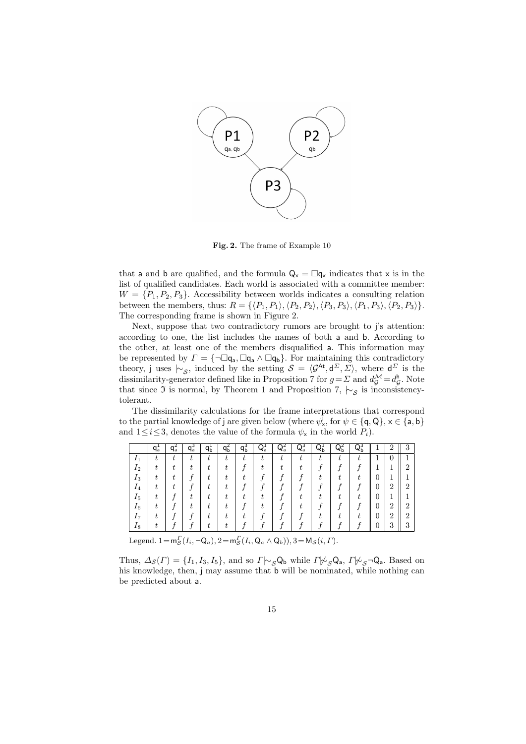

**Fig. 2.** The frame of Example 10

that a and b are qualified, and the formula  $Q_x = \Box q_x$  indicates that x is in the list of qualified candidates. Each world is associated with a committee member:  $W = \{P_1, P_2, P_3\}$ . Accessibility between worlds indicates a consulting relation between the members, thus:  $R = \{ \langle P_1, P_1 \rangle, \langle P_2, P_2 \rangle, \langle P_3, P_3 \rangle, \langle P_1, P_3 \rangle, \langle P_2, P_3 \rangle \}.$ The corresponding frame is shown in Figure 2.

Next, suppose that two contradictory rumors are brought to j's attention: according to one, the list includes the names of both a and b. According to the other, at least one of the members disqualified a. This information may be represented by  $\Gamma = \{\neg \Box q_a, \Box q_a \wedge \Box q_b\}$ . For maintaining this contradictory theory, j uses  $\sim$ <sub>*S*</sub>, induced by the setting  $S = \langle G^{At}, d^{\Sigma}, \Sigma \rangle$ , where  $d^{\Sigma}$  is the dissimilarity-generator defined like in Proposition 7 for  $g = \Sigma$  and  $d_G^{\mathcal{M}} = d_G^{\mathsf{h}}$ *G* . Note that since <sup>I</sup> is normal, by Theorem 1 and Proposition 7, *|∼<sup>S</sup>* is inconsistencytolerant.

The dissimilarity calculations for the frame interpretations that correspond to the partial knowledge of j are given below (where  $\psi^i_x$ , for  $\psi \in \{\text{q}, \text{Q}\}, x \in \{\text{a}, \text{b}\}\$ and  $1 \leq i \leq 3$ , denotes the value of the formula  $\psi_{\mathsf{x}}$  in the world  $P_i$ ).

|                | $q_{\overline{a}}$ | qa     | $q_a^3$ | qБ | qБ | qь       | $Q_a^1$ | $Q_a^2$ | $Q_a^3$ | $Q_{\rm b}$ | $Q_{\rm b}$ | $Q_{\rm b}$ |   | $\overline{2}$ | 3              |
|----------------|--------------------|--------|---------|----|----|----------|---------|---------|---------|-------------|-------------|-------------|---|----------------|----------------|
| 11             |                    | ÷<br>ı | ι.      |    | ÷  | ÷.<br>ι. |         |         |         |             |             |             |   | 0              |                |
| 1 <sub>2</sub> |                    |        |         |    |    |          |         |         |         |             |             |             |   |                | ٠,             |
| $I_3$          |                    |        |         |    |    |          |         |         |         |             |             |             | U |                |                |
| 14             |                    |        |         |    |    |          |         |         |         |             |             |             | 0 | 2              | 2              |
| $I_5$          |                    |        |         |    |    |          |         |         |         |             |             |             | U |                |                |
| $I_6$          |                    |        |         |    |    |          |         |         |         |             |             |             | 0 | $\overline{2}$ | $\overline{2}$ |
| 17             |                    |        |         |    |    |          |         |         |         |             |             |             | 0 | $\overline{2}$ | $\overline{2}$ |
| 18             |                    |        |         |    |    |          |         |         |         |             |             |             |   | 3              | 2<br>$\cdot$ 1 |

Legend.  $1 = m_S^{\Gamma}(I_i, \neg Q_a)$ ,  $2 = m_S^{\Gamma}(I_i, Q_a \wedge Q_b)$ ),  $3 = M_S(i, \Gamma)$ .

Thus,  $\Delta_{\mathcal{S}}(\Gamma) = \{I_1, I_3, I_5\}$ , and so  $\Gamma \sim_{\mathcal{S}} \mathsf{Q}_{\mathsf{b}}$  while  $\Gamma \not\sim_{\mathcal{S}} \mathsf{Q}_{\mathsf{a}}, \Gamma \not\sim_{\mathcal{S}} \neg \mathsf{Q}_{\mathsf{a}}$ . Based on his knowledge, then, j may assume that **b** will be nominated, while nothing can be predicted about a.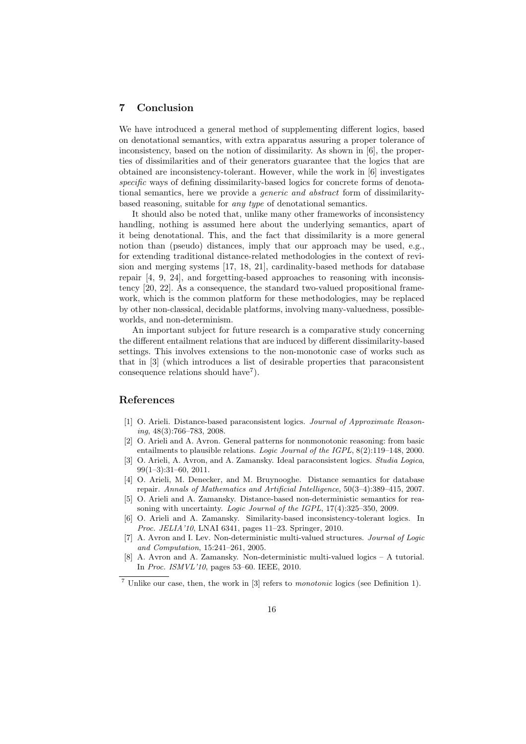#### **7 Conclusion**

We have introduced a general method of supplementing different logics, based on denotational semantics, with extra apparatus assuring a proper tolerance of inconsistency, based on the notion of dissimilarity. As shown in [6], the properties of dissimilarities and of their generators guarantee that the logics that are obtained are inconsistency-tolerant. However, while the work in [6] investigates *specific* ways of defining dissimilarity-based logics for concrete forms of denotational semantics, here we provide a *generic and abstract* form of dissimilaritybased reasoning, suitable for *any type* of denotational semantics.

It should also be noted that, unlike many other frameworks of inconsistency handling, nothing is assumed here about the underlying semantics, apart of it being denotational. This, and the fact that dissimilarity is a more general notion than (pseudo) distances, imply that our approach may be used, e.g., for extending traditional distance-related methodologies in the context of revision and merging systems [17, 18, 21], cardinality-based methods for database repair [4, 9, 24], and forgetting-based approaches to reasoning with inconsistency [20, 22]. As a consequence, the standard two-valued propositional framework, which is the common platform for these methodologies, may be replaced by other non-classical, decidable platforms, involving many-valuedness, possibleworlds, and non-determinism.

An important subject for future research is a comparative study concerning the different entailment relations that are induced by different dissimilarity-based settings. This involves extensions to the non-monotonic case of works such as that in [3] (which introduces a list of desirable properties that paraconsistent consequence relations should have<sup>7</sup>).

## **References**

- [1] O. Arieli. Distance-based paraconsistent logics. *Journal of Approximate Reasoning*, 48(3):766–783, 2008.
- [2] O. Arieli and A. Avron. General patterns for nonmonotonic reasoning: from basic entailments to plausible relations. *Logic Journal of the IGPL*, 8(2):119–148, 2000.
- [3] O. Arieli, A. Avron, and A. Zamansky. Ideal paraconsistent logics. *Studia Logica*, 99(1–3):31–60, 2011.
- [4] O. Arieli, M. Denecker, and M. Bruynooghe. Distance semantics for database repair. *Annals of Mathematics and Artificial Intelligence*, 50(3–4):389–415, 2007.
- [5] O. Arieli and A. Zamansky. Distance-based non-deterministic semantics for reasoning with uncertainty. *Logic Journal of the IGPL*, 17(4):325–350, 2009.
- [6] O. Arieli and A. Zamansky. Similarity-based inconsistency-tolerant logics. In *Proc. JELIA'10*, LNAI 6341, pages 11–23. Springer, 2010.
- [7] A. Avron and I. Lev. Non-deterministic multi-valued structures. *Journal of Logic and Computation*, 15:241–261, 2005.
- [8] A. Avron and A. Zamansky. Non-deterministic multi-valued logics A tutorial. In *Proc. ISMVL'10*, pages 53–60. IEEE, 2010.

<sup>7</sup> Unlike our case, then, the work in [3] refers to *monotonic* logics (see Definition 1).